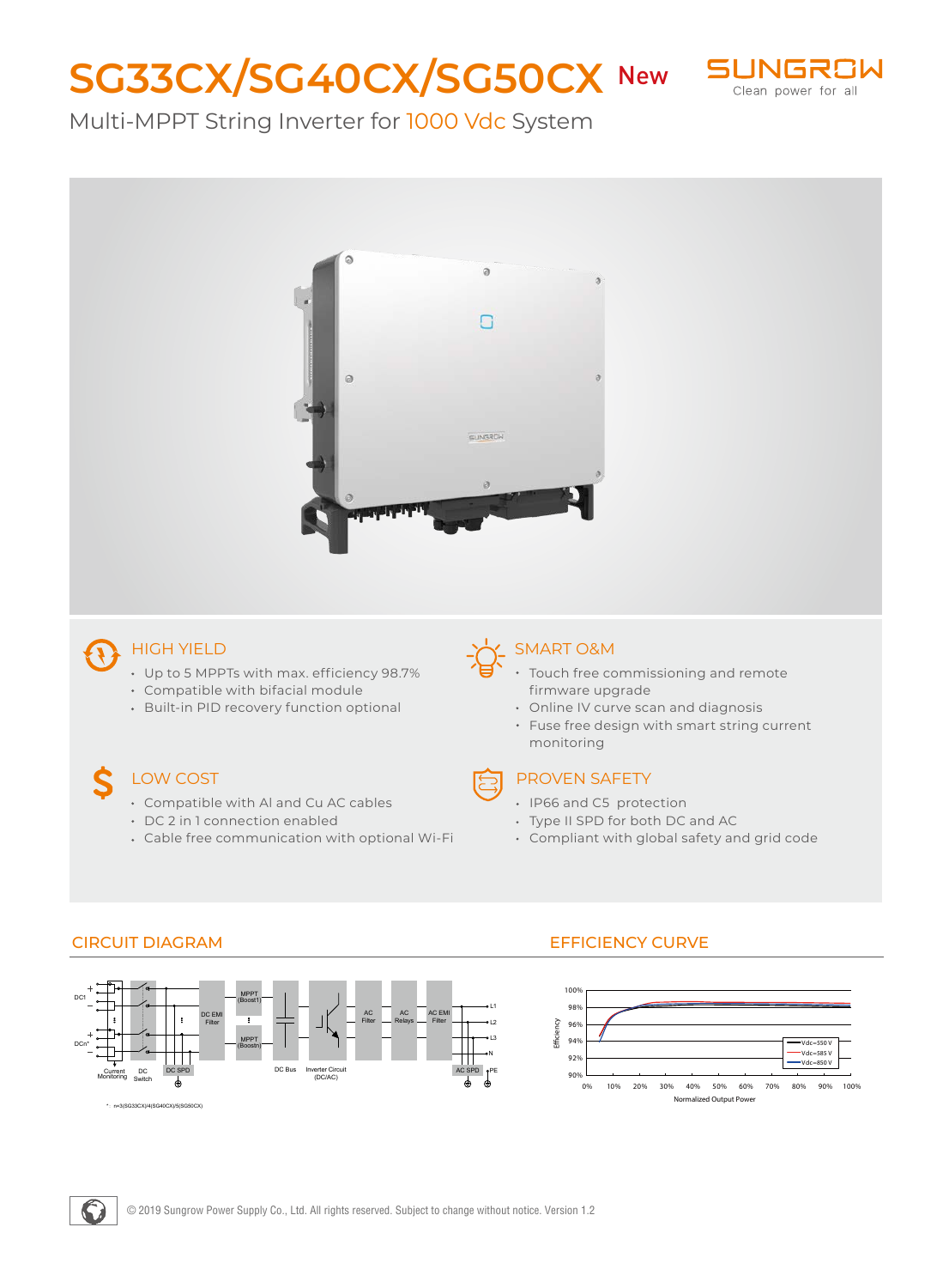# **SG33CX/SG40CX/SG50CX New SUNGROW**



### Multi-MPPT String Inverter for 1000 Vdc System



## HIGH YIELD

- Up to 5 MPPTs with max. efficiency 98.7%
- Compatible with bifacial module
- Built-in PID recovery function optional

#### LOW COST

- 
- Compatible with Al and Cu AC cables
- DC 2 in 1 connection enabled
- Cable free communication with optional Wi-Fi

#### SMART O&M

- Touch free commissioning and remote firmware upgrade
	- Online IV curve scan and diagnosis
	- Fuse free design with smart string current monitoring



#### PROVEN SAFETY

- IP66 and C5 protection
- Type II SPD for both DC and AC
- Compliant with global safety and grid code



#### CIRCUIT DIAGRAM EFFICIENCY CURVE